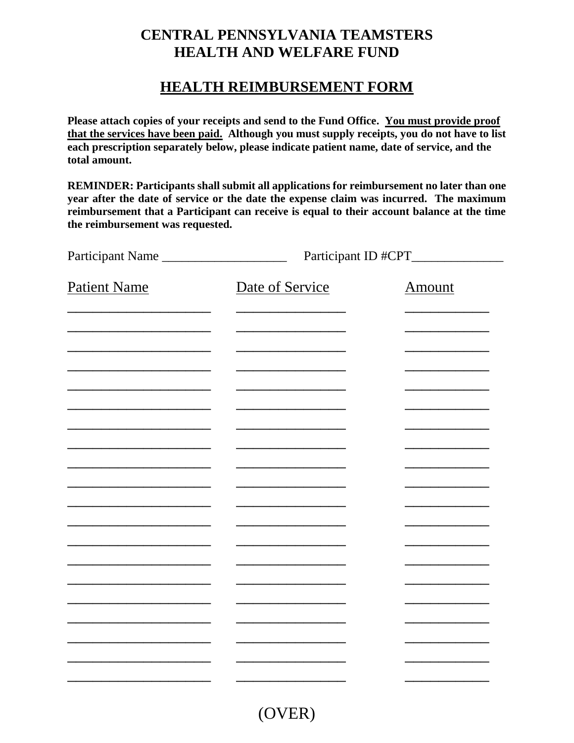## **CENTRAL PENNSYLVANIA TEAMSTERS HEALTH AND WELFARE FUND**

## **HEALTH REIMBURSEMENT FORM**

**Please attach copies of your receipts and send to the Fund Office. You must provide proof that the services have been paid. Although you must supply receipts, you do not have to list each prescription separately below, please indicate patient name, date of service, and the total amount.**

**REMINDER: Participants shall submit all applications for reimbursement no later than one year after the date of service or the date the expense claim was incurred. The maximum reimbursement that a Participant can receive is equal to their account balance at the time the reimbursement was requested.**

| Participant Name    | Participant ID #CPT_______ |               |
|---------------------|----------------------------|---------------|
| <b>Patient Name</b> | Date of Service            | <b>Amount</b> |
|                     |                            |               |
|                     |                            |               |
|                     |                            |               |
|                     |                            |               |
|                     |                            |               |
|                     |                            |               |
|                     |                            |               |
|                     |                            |               |
|                     |                            |               |
|                     |                            |               |
|                     |                            |               |
|                     |                            |               |
|                     |                            |               |

(OVER)